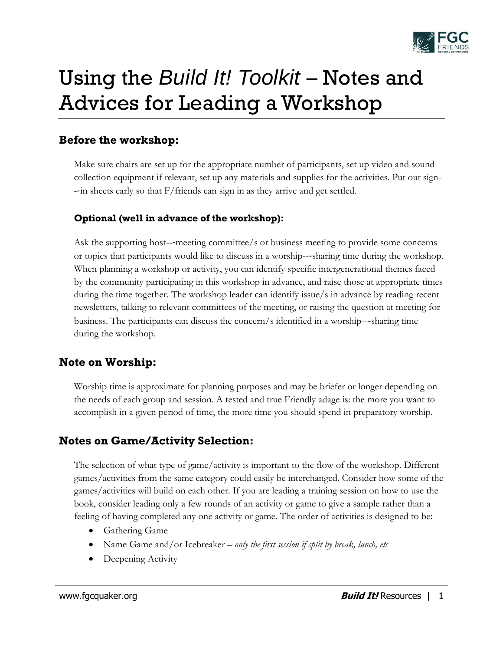

# Using the *Build It! Toolkit* – Notes and Advices for Leading a Workshop

# **Before the workshop:**

Make sure chairs are set up for the appropriate number of participants, set up video and sound collection equipment if relevant, set up any materials and supplies for the activities. Put out sign-  $-$ in sheets early so that  $F/$  friends can sign in as they arrive and get settled.

## **Optional (well in advance of the workshop):**

Ask the supporting host---meeting committee/s or business meeting to provide some concerns or topics that participants would like to discuss in a worship--‐sharing time during the workshop. When planning a workshop or activity, you can identify specific intergenerational themes faced by the community participating in this workshop in advance, and raise those at appropriate times during the time together. The workshop leader can identify issue/s in advance by reading recent newsletters, talking to relevant committees of the meeting, or raising the question at meeting for business. The participants can discuss the concern/s identified in a worship--‐sharing time during the workshop.

# **Note on Worship:**

Worship time is approximate for planning purposes and may be briefer or longer depending on the needs of each group and session. A tested and true Friendly adage is: the more you want to accomplish in a given period of time, the more time you should spend in preparatory worship.

# **Notes on Game/Activity Selection:**

The selection of what type of game/activity is important to the flow of the workshop. Different games/activities from the same category could easily be interchanged. Consider how some of the games/activities will build on each other. If you are leading a training session on how to use the book, consider leading only a few rounds of an activity or game to give a sample rather than a feeling of having completed any one activity or game. The order of activities is designed to be:

- Gathering Game
- Name Game and/or Icebreaker *only the first session if split by break, lunch, etc*
- Deepening Activity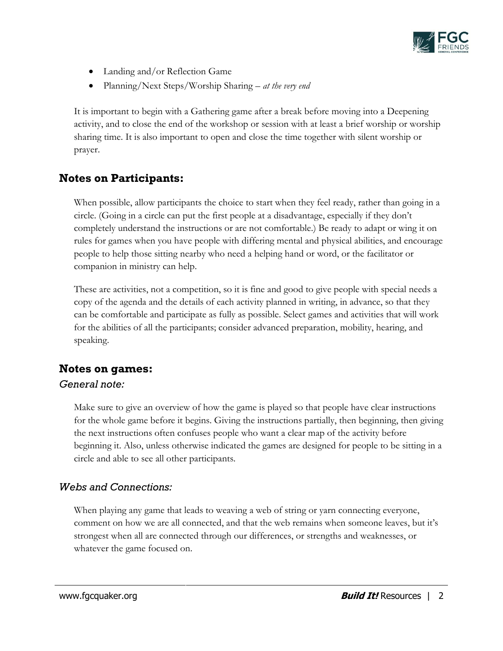

- Landing and/or Reflection Game
- Planning/Next Steps/Worship Sharing *– at the very end*

It is important to begin with a Gathering game after a break before moving into a Deepening activity, and to close the end of the workshop or session with at least a brief worship or worship sharing time. It is also important to open and close the time together with silent worship or prayer.

# **Notes on Participants:**

When possible, allow participants the choice to start when they feel ready, rather than going in a circle. (Going in a circle can put the first people at a disadvantage, especially if they don't completely understand the instructions or are not comfortable.) Be ready to adapt or wing it on rules for games when you have people with differing mental and physical abilities, and encourage people to help those sitting nearby who need a helping hand or word, or the facilitator or companion in ministry can help.

These are activities, not a competition, so it is fine and good to give people with special needs a copy of the agenda and the details of each activity planned in writing, in advance, so that they can be comfortable and participate as fully as possible. Select games and activities that will work for the abilities of all the participants; consider advanced preparation, mobility, hearing, and speaking.

# **Notes on games:**

#### *General note:*

Make sure to give an overview of how the game is played so that people have clear instructions for the whole game before it begins. Giving the instructions partially, then beginning, then giving the next instructions often confuses people who want a clear map of the activity before beginning it. Also, unless otherwise indicated the games are designed for people to be sitting in a circle and able to see all other participants.

# *Webs and Connections:*

When playing any game that leads to weaving a web of string or yarn connecting everyone, comment on how we are all connected, and that the web remains when someone leaves, but it's strongest when all are connected through our differences, or strengths and weaknesses, or whatever the game focused on.